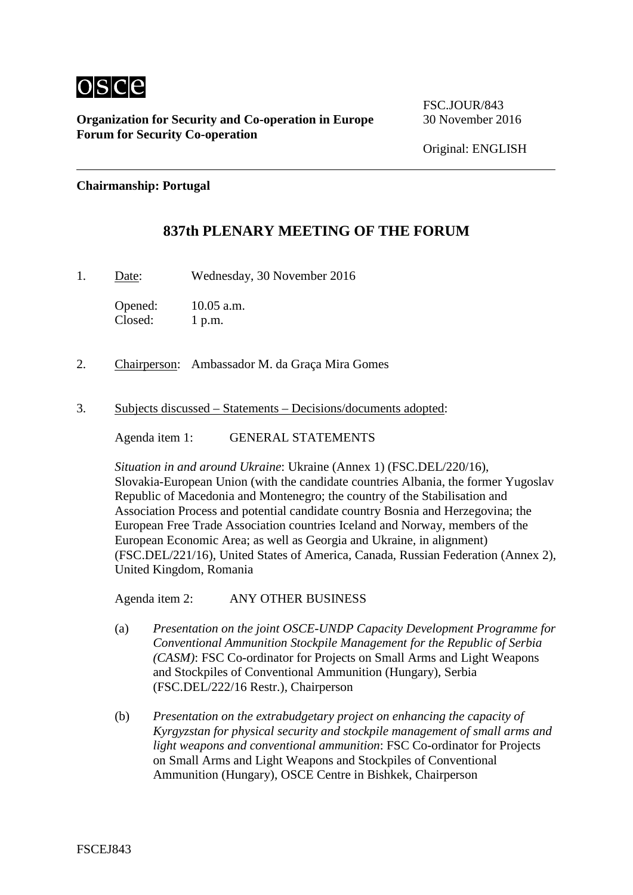

FSC.JOUR/843

Original: ENGLISH

#### **Chairmanship: Portugal**

#### **837th PLENARY MEETING OF THE FORUM**

1. Date: Wednesday, 30 November 2016

Opened: 10.05 a.m. Closed: 1 p.m.

- 2. Chairperson: Ambassador M. da Graça Mira Gomes
- 3. Subjects discussed Statements Decisions/documents adopted:

Agenda item 1: GENERAL STATEMENTS

*Situation in and around Ukraine*: Ukraine (Annex 1) (FSC.DEL/220/16), Slovakia-European Union (with the candidate countries Albania, the former Yugoslav Republic of Macedonia and Montenegro; the country of the Stabilisation and Association Process and potential candidate country Bosnia and Herzegovina; the European Free Trade Association countries Iceland and Norway, members of the European Economic Area; as well as Georgia and Ukraine, in alignment) (FSC.DEL/221/16), United States of America, Canada, Russian Federation (Annex 2), United Kingdom, Romania

Agenda item 2: ANY OTHER BUSINESS

- (a) *Presentation on the joint OSCE-UNDP Capacity Development Programme for Conventional Ammunition Stockpile Management for the Republic of Serbia (CASM)*: FSC Co-ordinator for Projects on Small Arms and Light Weapons and Stockpiles of Conventional Ammunition (Hungary), Serbia (FSC.DEL/222/16 Restr.), Chairperson
- (b) *Presentation on the extrabudgetary project on enhancing the capacity of Kyrgyzstan for physical security and stockpile management of small arms and light weapons and conventional ammunition*: FSC Co-ordinator for Projects on Small Arms and Light Weapons and Stockpiles of Conventional Ammunition (Hungary), OSCE Centre in Bishkek, Chairperson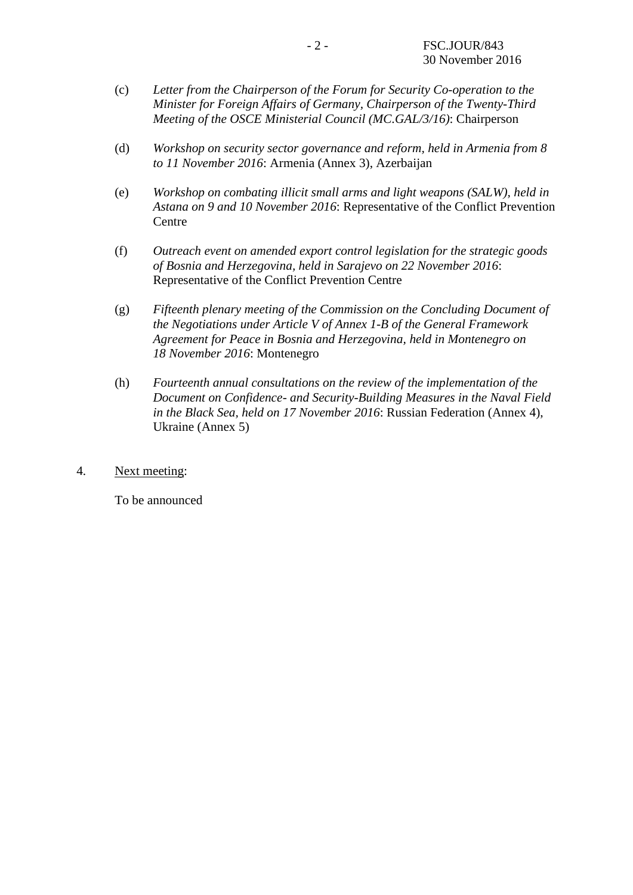- (c) *Letter from the Chairperson of the Forum for Security Co-operation to the Minister for Foreign Affairs of Germany, Chairperson of the Twenty-Third Meeting of the OSCE Ministerial Council (MC.GAL/3/16)*: Chairperson
- (d) *Workshop on security sector governance and reform, held in Armenia from 8 to 11 November 2016*: Armenia (Annex 3), Azerbaijan
- (e) *Workshop on combating illicit small arms and light weapons (SALW), held in Astana on 9 and 10 November 2016*: Representative of the Conflict Prevention Centre
- (f) *Outreach event on amended export control legislation for the strategic goods of Bosnia and Herzegovina, held in Sarajevo on 22 November 2016*: Representative of the Conflict Prevention Centre
- (g) *Fifteenth plenary meeting of the Commission on the Concluding Document of the Negotiations under Article V of Annex 1-B of the General Framework Agreement for Peace in Bosnia and Herzegovina, held in Montenegro on 18 November 2016*: Montenegro
- (h) *Fourteenth annual consultations on the review of the implementation of the Document on Confidence- and Security-Building Measures in the Naval Field in the Black Sea, held on 17 November 2016*: Russian Federation (Annex 4), Ukraine (Annex 5)
- 4. Next meeting:

To be announced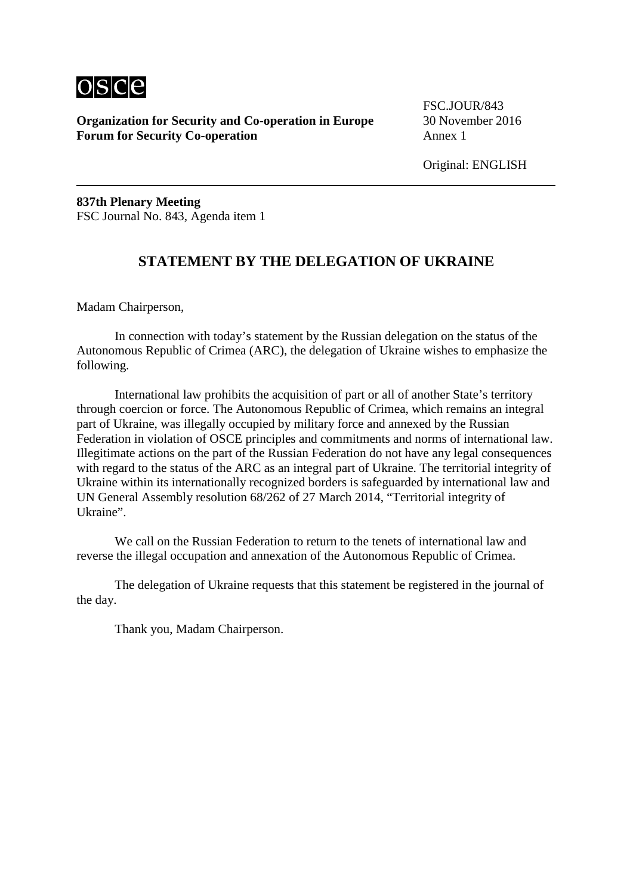

FSC.JOUR/843

Original: ENGLISH

**837th Plenary Meeting** FSC Journal No. 843, Agenda item 1

### **STATEMENT BY THE DELEGATION OF UKRAINE**

Madam Chairperson,

In connection with today's statement by the Russian delegation on the status of the Autonomous Republic of Crimea (ARC), the delegation of Ukraine wishes to emphasize the following.

International law prohibits the acquisition of part or all of another State's territory through coercion or force. The Autonomous Republic of Crimea, which remains an integral part of Ukraine, was illegally occupied by military force and annexed by the Russian Federation in violation of OSCE principles and commitments and norms of international law. Illegitimate actions on the part of the Russian Federation do not have any legal consequences with regard to the status of the ARC as an integral part of Ukraine. The territorial integrity of Ukraine within its internationally recognized borders is safeguarded by international law and UN General Assembly resolution 68/262 of 27 March 2014, "Territorial integrity of Ukraine".

We call on the Russian Federation to return to the tenets of international law and reverse the illegal occupation and annexation of the Autonomous Republic of Crimea.

The delegation of Ukraine requests that this statement be registered in the journal of the day.

Thank you, Madam Chairperson.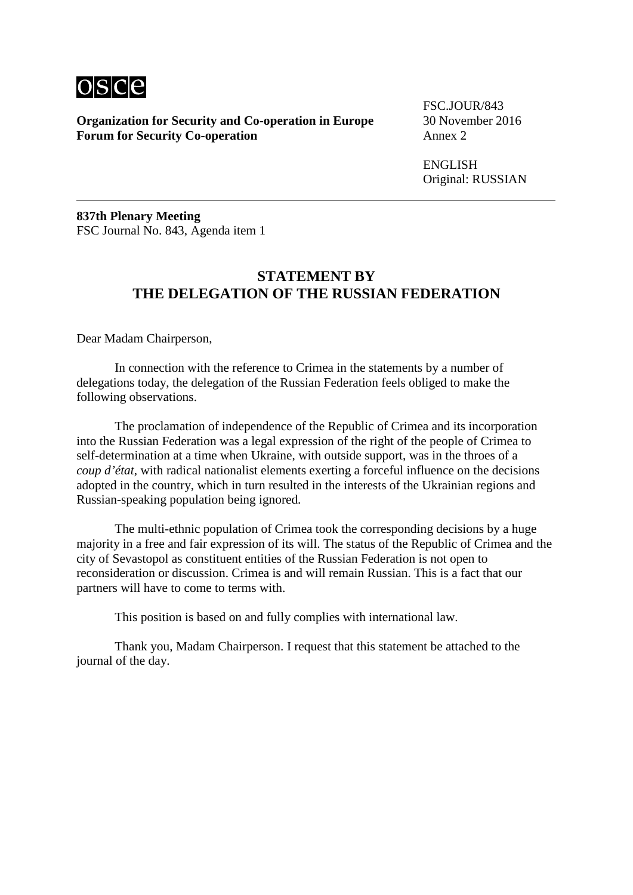

FSC. JOUR/843

ENGLISH Original: RUSSIAN

**837th Plenary Meeting** FSC Journal No. 843, Agenda item 1

# **STATEMENT BY THE DELEGATION OF THE RUSSIAN FEDERATION**

Dear Madam Chairperson,

In connection with the reference to Crimea in the statements by a number of delegations today, the delegation of the Russian Federation feels obliged to make the following observations.

The proclamation of independence of the Republic of Crimea and its incorporation into the Russian Federation was a legal expression of the right of the people of Crimea to self-determination at a time when Ukraine, with outside support, was in the throes of a *coup d'état*, with radical nationalist elements exerting a forceful influence on the decisions adopted in the country, which in turn resulted in the interests of the Ukrainian regions and Russian-speaking population being ignored.

The multi-ethnic population of Crimea took the corresponding decisions by a huge majority in a free and fair expression of its will. The status of the Republic of Crimea and the city of Sevastopol as constituent entities of the Russian Federation is not open to reconsideration or discussion. Crimea is and will remain Russian. This is a fact that our partners will have to come to terms with.

This position is based on and fully complies with international law.

Thank you, Madam Chairperson. I request that this statement be attached to the journal of the day.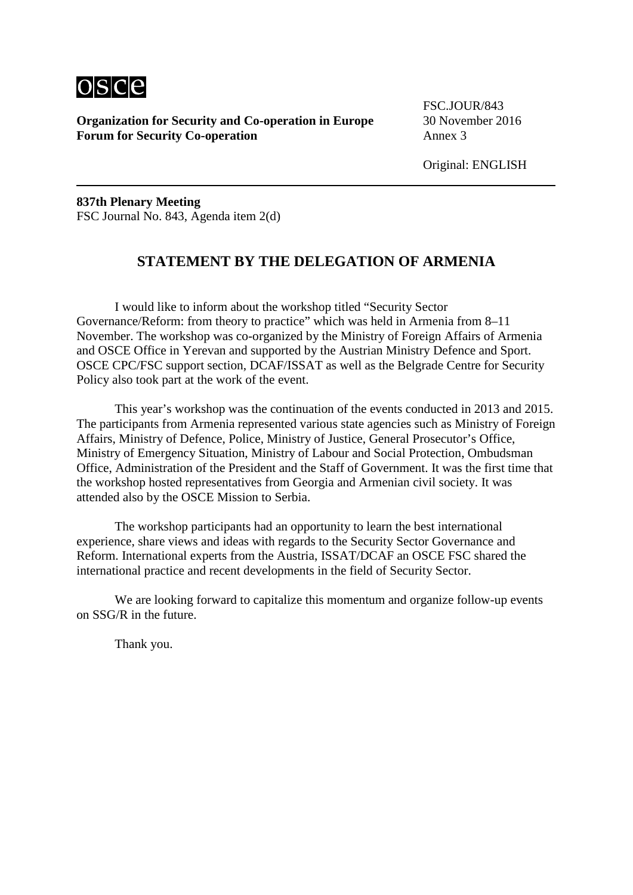

FSC. JOUR/843

Original: ENGLISH

**837th Plenary Meeting** FSC Journal No. 843, Agenda item 2(d)

## **STATEMENT BY THE DELEGATION OF ARMENIA**

I would like to inform about the workshop titled "Security Sector Governance/Reform: from theory to practice" which was held in Armenia from 8–11 November. The workshop was co-organized by the Ministry of Foreign Affairs of Armenia and OSCE Office in Yerevan and supported by the Austrian Ministry Defence and Sport. OSCE CPC/FSC support section, DCAF/ISSAT as well as the Belgrade Centre for Security Policy also took part at the work of the event.

This year's workshop was the continuation of the events conducted in 2013 and 2015. The participants from Armenia represented various state agencies such as Ministry of Foreign Affairs, Ministry of Defence, Police, Ministry of Justice, General Prosecutor's Office, Ministry of Emergency Situation, Ministry of Labour and Social Protection, Ombudsman Office, Administration of the President and the Staff of Government. It was the first time that the workshop hosted representatives from Georgia and Armenian civil society. It was attended also by the OSCE Mission to Serbia.

The workshop participants had an opportunity to learn the best international experience, share views and ideas with regards to the Security Sector Governance and Reform. International experts from the Austria, ISSAT/DCAF an OSCE FSC shared the international practice and recent developments in the field of Security Sector.

We are looking forward to capitalize this momentum and organize follow-up events on SSG/R in the future.

Thank you.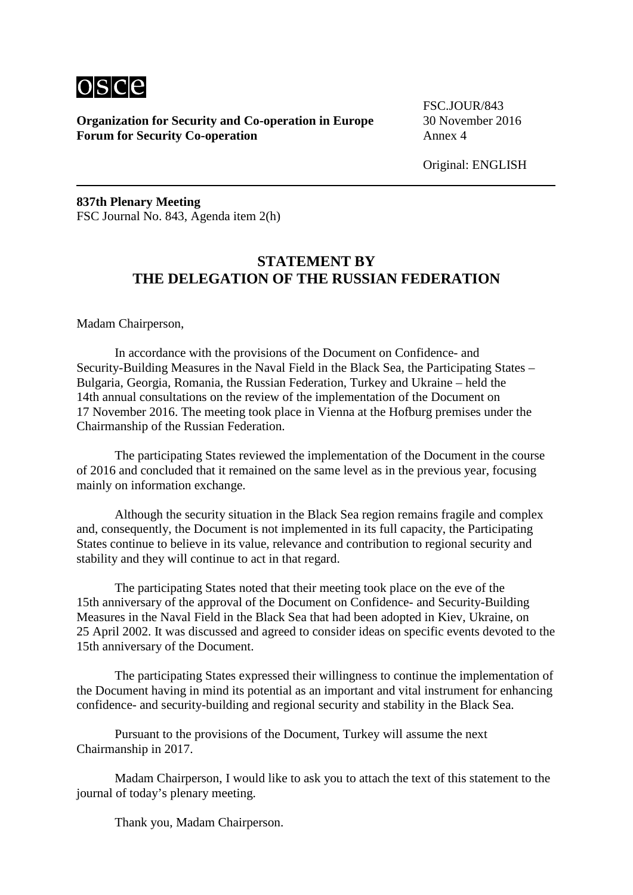

FSC. JOUR/843

Original: ENGLISH

**837th Plenary Meeting** FSC Journal No. 843, Agenda item 2(h)

# **STATEMENT BY THE DELEGATION OF THE RUSSIAN FEDERATION**

Madam Chairperson,

In accordance with the provisions of the Document on Confidence- and Security-Building Measures in the Naval Field in the Black Sea, the Participating States – Bulgaria, Georgia, Romania, the Russian Federation, Turkey and Ukraine – held the 14th annual consultations on the review of the implementation of the Document on 17 November 2016. The meeting took place in Vienna at the Hofburg premises under the Chairmanship of the Russian Federation.

The participating States reviewed the implementation of the Document in the course of 2016 and concluded that it remained on the same level as in the previous year, focusing mainly on information exchange.

Although the security situation in the Black Sea region remains fragile and complex and, consequently, the Document is not implemented in its full capacity, the Participating States continue to believe in its value, relevance and contribution to regional security and stability and they will continue to act in that regard.

The participating States noted that their meeting took place on the eve of the 15th anniversary of the approval of the Document on Confidence- and Security-Building Measures in the Naval Field in the Black Sea that had been adopted in Kiev, Ukraine, on 25 April 2002. It was discussed and agreed to consider ideas on specific events devoted to the 15th anniversary of the Document.

The participating States expressed their willingness to continue the implementation of the Document having in mind its potential as an important and vital instrument for enhancing confidence- and security-building and regional security and stability in the Black Sea.

Pursuant to the provisions of the Document, Turkey will assume the next Chairmanship in 2017.

Madam Chairperson, I would like to ask you to attach the text of this statement to the journal of today's plenary meeting.

Thank you, Madam Chairperson.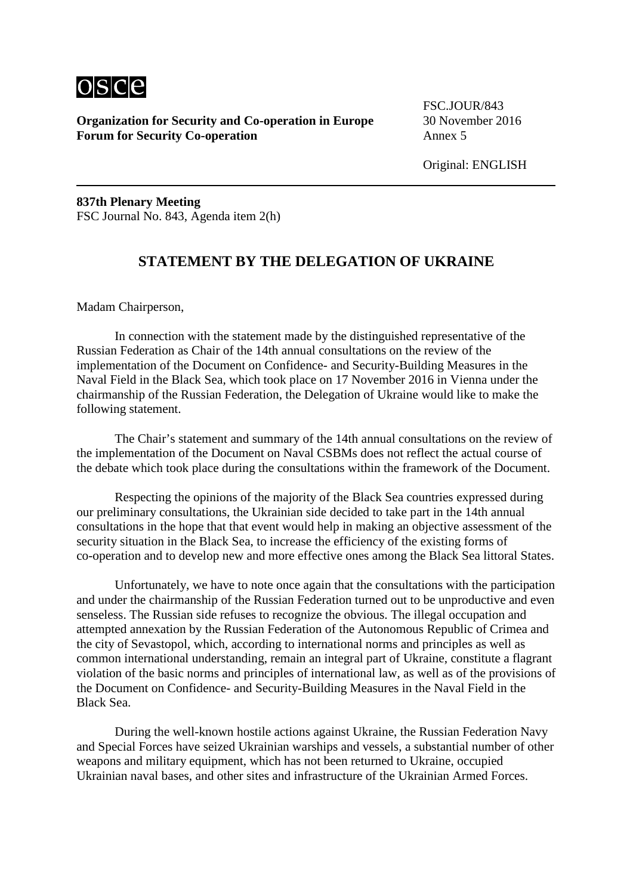

FSC. JOUR/843

Original: ENGLISH

**837th Plenary Meeting** FSC Journal No. 843, Agenda item 2(h)

### **STATEMENT BY THE DELEGATION OF UKRAINE**

Madam Chairperson,

In connection with the statement made by the distinguished representative of the Russian Federation as Chair of the 14th annual consultations on the review of the implementation of the Document on Confidence- and Security-Building Measures in the Naval Field in the Black Sea, which took place on 17 November 2016 in Vienna under the chairmanship of the Russian Federation, the Delegation of Ukraine would like to make the following statement.

The Chair's statement and summary of the 14th annual consultations on the review of the implementation of the Document on Naval CSBMs does not reflect the actual course of the debate which took place during the consultations within the framework of the Document.

Respecting the opinions of the majority of the Black Sea countries expressed during our preliminary consultations, the Ukrainian side decided to take part in the 14th annual consultations in the hope that that event would help in making an objective assessment of the security situation in the Black Sea, to increase the efficiency of the existing forms of co-operation and to develop new and more effective ones among the Black Sea littoral States.

Unfortunately, we have to note once again that the consultations with the participation and under the chairmanship of the Russian Federation turned out to be unproductive and even senseless. The Russian side refuses to recognize the obvious. The illegal occupation and attempted annexation by the Russian Federation of the Autonomous Republic of Crimea and the city of Sevastopol, which, according to international norms and principles as well as common international understanding, remain an integral part of Ukraine, constitute a flagrant violation of the basic norms and principles of international law, as well as of the provisions of the Document on Confidence- and Security-Building Measures in the Naval Field in the Black Sea.

During the well-known hostile actions against Ukraine, the Russian Federation Navy and Special Forces have seized Ukrainian warships and vessels, a substantial number of other weapons and military equipment, which has not been returned to Ukraine, occupied Ukrainian naval bases, and other sites and infrastructure of the Ukrainian Armed Forces.